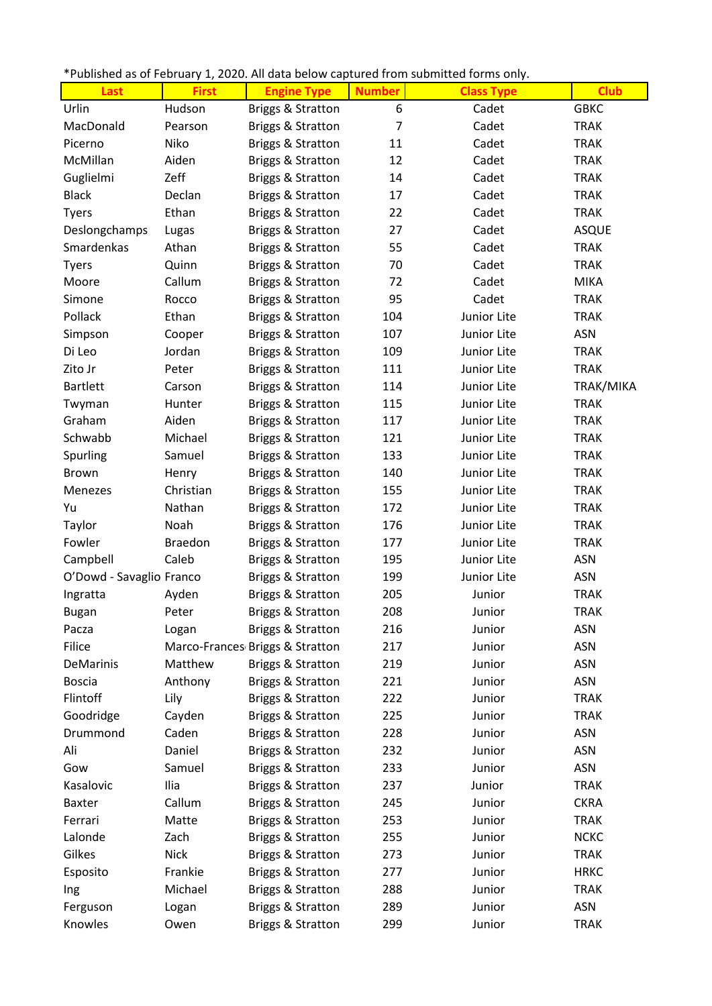|  | *Published as of February 1, 2020. All data below captured from submitted forms only. |
|--|---------------------------------------------------------------------------------------|
|--|---------------------------------------------------------------------------------------|

| Last                     | <b>First</b>   | <b>Engine Type</b>              | <b>Number</b> | <b>Class Type</b> | <b>Club</b>  |
|--------------------------|----------------|---------------------------------|---------------|-------------------|--------------|
| Urlin                    | Hudson         | <b>Briggs &amp; Stratton</b>    | 6             | Cadet             | <b>GBKC</b>  |
| MacDonald                | Pearson        | <b>Briggs &amp; Stratton</b>    | 7             | Cadet             | <b>TRAK</b>  |
| Picerno                  | Niko           | Briggs & Stratton               | 11            | Cadet             | <b>TRAK</b>  |
| McMillan                 | Aiden          | <b>Briggs &amp; Stratton</b>    | 12            | Cadet             | <b>TRAK</b>  |
| Guglielmi                | Zeff           | <b>Briggs &amp; Stratton</b>    | 14            | Cadet             | <b>TRAK</b>  |
| <b>Black</b>             | Declan         | <b>Briggs &amp; Stratton</b>    | 17            | Cadet             | <b>TRAK</b>  |
| <b>Tyers</b>             | Ethan          | <b>Briggs &amp; Stratton</b>    | 22            | Cadet             | <b>TRAK</b>  |
| Deslongchamps            | Lugas          | <b>Briggs &amp; Stratton</b>    | 27            | Cadet             | <b>ASQUE</b> |
| Smardenkas               | Athan          | <b>Briggs &amp; Stratton</b>    | 55            | Cadet             | <b>TRAK</b>  |
| <b>Tyers</b>             | Quinn          | <b>Briggs &amp; Stratton</b>    | 70            | Cadet             | <b>TRAK</b>  |
| Moore                    | Callum         | <b>Briggs &amp; Stratton</b>    | 72            | Cadet             | <b>MIKA</b>  |
| Simone                   | Rocco          | <b>Briggs &amp; Stratton</b>    | 95            | Cadet             | <b>TRAK</b>  |
| Pollack                  | Ethan          | <b>Briggs &amp; Stratton</b>    | 104           | Junior Lite       | <b>TRAK</b>  |
| Simpson                  | Cooper         | <b>Briggs &amp; Stratton</b>    | 107           | Junior Lite       | ASN          |
| Di Leo                   | Jordan         | Briggs & Stratton               | 109           | Junior Lite       | <b>TRAK</b>  |
| Zito Jr                  | Peter          | <b>Briggs &amp; Stratton</b>    | 111           | Junior Lite       | <b>TRAK</b>  |
| <b>Bartlett</b>          | Carson         | <b>Briggs &amp; Stratton</b>    | 114           | Junior Lite       | TRAK/MIKA    |
| Twyman                   | Hunter         | <b>Briggs &amp; Stratton</b>    | 115           | Junior Lite       | <b>TRAK</b>  |
| Graham                   | Aiden          | <b>Briggs &amp; Stratton</b>    | 117           | Junior Lite       | <b>TRAK</b>  |
| Schwabb                  | Michael        | <b>Briggs &amp; Stratton</b>    | 121           | Junior Lite       | <b>TRAK</b>  |
| Spurling                 | Samuel         | <b>Briggs &amp; Stratton</b>    | 133           | Junior Lite       | <b>TRAK</b>  |
| Brown                    | Henry          | <b>Briggs &amp; Stratton</b>    | 140           | Junior Lite       | <b>TRAK</b>  |
| Menezes                  | Christian      | <b>Briggs &amp; Stratton</b>    | 155           | Junior Lite       | <b>TRAK</b>  |
| Yu                       | Nathan         | <b>Briggs &amp; Stratton</b>    | 172           | Junior Lite       | <b>TRAK</b>  |
| Taylor                   | Noah           | <b>Briggs &amp; Stratton</b>    | 176           | Junior Lite       | <b>TRAK</b>  |
| Fowler                   | <b>Braedon</b> | <b>Briggs &amp; Stratton</b>    | 177           | Junior Lite       | <b>TRAK</b>  |
| Campbell                 | Caleb          | Briggs & Stratton               | 195           | Junior Lite       | ASN          |
| O'Dowd - Savaglio Franco |                | <b>Briggs &amp; Stratton</b>    | 199           | Junior Lite       | ASN          |
| Ingratta                 | Ayden          | <b>Briggs &amp; Stratton</b>    | 205           | Junior            | <b>TRAK</b>  |
| Bugan                    | Peter          | Briggs & Stratton               | 208           | Junior            | <b>TRAK</b>  |
| Pacza                    | Logan          | <b>Briggs &amp; Stratton</b>    | 216           | Junior            | ASN          |
| Filice                   |                | Marco-Frances Briggs & Stratton | 217           | Junior            | ASN          |
| DeMarinis                | Matthew        | <b>Briggs &amp; Stratton</b>    | 219           | Junior            | ASN          |
| <b>Boscia</b>            | Anthony        | Briggs & Stratton               | 221           | Junior            | ASN          |
| Flintoff                 | Lily           | Briggs & Stratton               | 222           | Junior            | <b>TRAK</b>  |
| Goodridge                | Cayden         | <b>Briggs &amp; Stratton</b>    | 225           | Junior            | <b>TRAK</b>  |
| Drummond                 | Caden          | <b>Briggs &amp; Stratton</b>    | 228           | Junior            | <b>ASN</b>   |
| Ali                      | Daniel         | <b>Briggs &amp; Stratton</b>    | 232           | Junior            | ASN          |
| Gow                      | Samuel         | Briggs & Stratton               | 233           | Junior            | ASN          |
| Kasalovic                | Ilia           | <b>Briggs &amp; Stratton</b>    | 237           | Junior            | <b>TRAK</b>  |
| <b>Baxter</b>            | Callum         | <b>Briggs &amp; Stratton</b>    | 245           | Junior            | <b>CKRA</b>  |
| Ferrari                  | Matte          | <b>Briggs &amp; Stratton</b>    | 253           | Junior            | <b>TRAK</b>  |
| Lalonde                  | Zach           | Briggs & Stratton               | 255           | Junior            | <b>NCKC</b>  |
| Gilkes                   | <b>Nick</b>    | <b>Briggs &amp; Stratton</b>    | 273           | Junior            | <b>TRAK</b>  |
| Esposito                 | Frankie        | <b>Briggs &amp; Stratton</b>    | 277           | Junior            | <b>HRKC</b>  |
| Ing                      | Michael        | <b>Briggs &amp; Stratton</b>    | 288           | Junior            | <b>TRAK</b>  |
| Ferguson                 | Logan          | <b>Briggs &amp; Stratton</b>    | 289           | Junior            | ASN          |
| Knowles                  | Owen           | <b>Briggs &amp; Stratton</b>    | 299           | Junior            | <b>TRAK</b>  |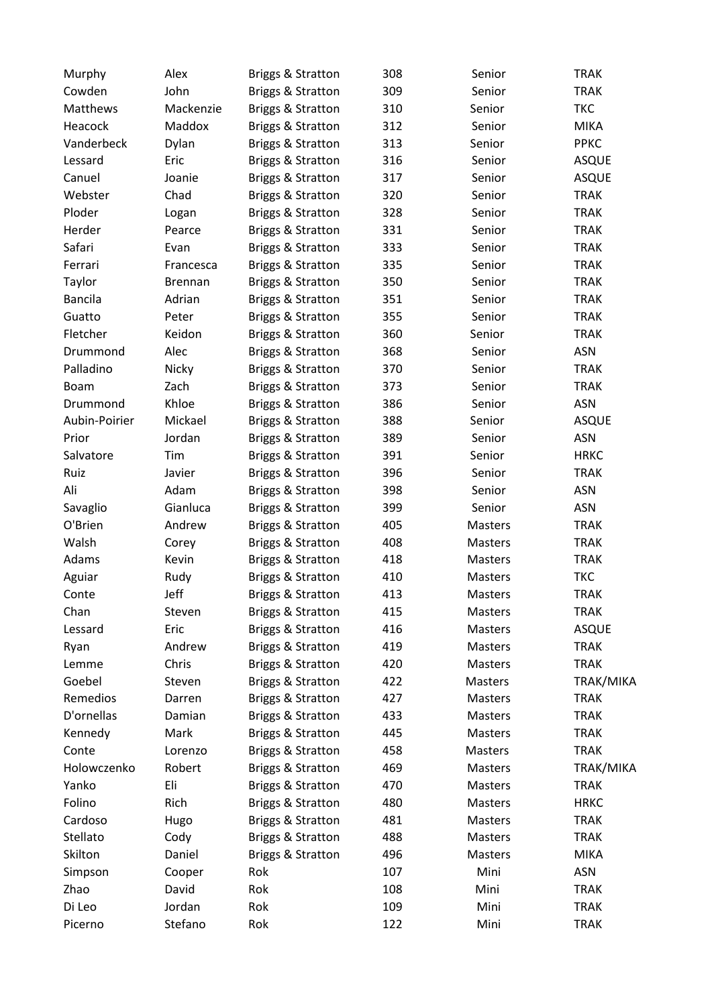| Murphy         | Alex           | Briggs & Stratton            | 308 | Senior  | <b>TRAK</b>  |
|----------------|----------------|------------------------------|-----|---------|--------------|
| Cowden         | John           | Briggs & Stratton            | 309 | Senior  | <b>TRAK</b>  |
| Matthews       | Mackenzie      | Briggs & Stratton            | 310 | Senior  | <b>TKC</b>   |
| Heacock        | Maddox         | Briggs & Stratton            | 312 | Senior  | <b>MIKA</b>  |
| Vanderbeck     | Dylan          | Briggs & Stratton            | 313 | Senior  | <b>PPKC</b>  |
| Lessard        | Eric           | Briggs & Stratton            | 316 | Senior  | <b>ASQUE</b> |
| Canuel         | Joanie         | Briggs & Stratton            | 317 | Senior  | <b>ASQUE</b> |
| Webster        | Chad           | Briggs & Stratton            | 320 | Senior  | <b>TRAK</b>  |
| Ploder         | Logan          | Briggs & Stratton            | 328 | Senior  | <b>TRAK</b>  |
| Herder         | Pearce         | Briggs & Stratton            | 331 | Senior  | <b>TRAK</b>  |
| Safari         | Evan           | Briggs & Stratton            | 333 | Senior  | <b>TRAK</b>  |
| Ferrari        | Francesca      | Briggs & Stratton            | 335 | Senior  | <b>TRAK</b>  |
| Taylor         | <b>Brennan</b> | <b>Briggs &amp; Stratton</b> | 350 | Senior  | <b>TRAK</b>  |
| <b>Bancila</b> | Adrian         | Briggs & Stratton            | 351 | Senior  | <b>TRAK</b>  |
| Guatto         | Peter          | Briggs & Stratton            | 355 | Senior  | <b>TRAK</b>  |
| Fletcher       | Keidon         | Briggs & Stratton            | 360 | Senior  | <b>TRAK</b>  |
| Drummond       | Alec           | Briggs & Stratton            | 368 | Senior  | ASN          |
| Palladino      |                |                              | 370 |         | <b>TRAK</b>  |
|                | Nicky          | <b>Briggs &amp; Stratton</b> |     | Senior  |              |
| <b>Boam</b>    | Zach           | Briggs & Stratton            | 373 | Senior  | <b>TRAK</b>  |
| Drummond       | Khloe          | Briggs & Stratton            | 386 | Senior  | <b>ASN</b>   |
| Aubin-Poirier  | Mickael        | <b>Briggs &amp; Stratton</b> | 388 | Senior  | <b>ASQUE</b> |
| Prior          | Jordan         | Briggs & Stratton            | 389 | Senior  | <b>ASN</b>   |
| Salvatore      | Tim            | Briggs & Stratton            | 391 | Senior  | <b>HRKC</b>  |
| Ruiz           | Javier         | Briggs & Stratton            | 396 | Senior  | <b>TRAK</b>  |
| Ali            | Adam           | <b>Briggs &amp; Stratton</b> | 398 | Senior  | <b>ASN</b>   |
| Savaglio       | Gianluca       | Briggs & Stratton            | 399 | Senior  | ASN          |
| O'Brien        | Andrew         | Briggs & Stratton            | 405 | Masters | <b>TRAK</b>  |
| Walsh          | Corey          | Briggs & Stratton            | 408 | Masters | <b>TRAK</b>  |
| Adams          | Kevin          | Briggs & Stratton            | 418 | Masters | <b>TRAK</b>  |
| Aguiar         | Rudy           | Briggs & Stratton            | 410 | Masters | <b>TKC</b>   |
| Conte          | Jeff           | Briggs & Stratton            | 413 | Masters | <b>TRAK</b>  |
| Chan           | Steven         | Briggs & Stratton            | 415 | Masters | <b>TRAK</b>  |
| Lessard        | Eric           | Briggs & Stratton            | 416 | Masters | <b>ASQUE</b> |
| Ryan           | Andrew         | Briggs & Stratton            | 419 | Masters | <b>TRAK</b>  |
| Lemme          | Chris          | Briggs & Stratton            | 420 | Masters | <b>TRAK</b>  |
| Goebel         | Steven         | Briggs & Stratton            | 422 | Masters | TRAK/MIKA    |
| Remedios       | Darren         | Briggs & Stratton            | 427 | Masters | <b>TRAK</b>  |
| D'ornellas     | Damian         | Briggs & Stratton            | 433 | Masters | <b>TRAK</b>  |
| Kennedy        | Mark           | Briggs & Stratton            | 445 | Masters | <b>TRAK</b>  |
| Conte          | Lorenzo        | <b>Briggs &amp; Stratton</b> | 458 | Masters | <b>TRAK</b>  |
| Holowczenko    | Robert         | Briggs & Stratton            | 469 | Masters | TRAK/MIKA    |
| Yanko          | Eli            | Briggs & Stratton            | 470 | Masters | <b>TRAK</b>  |
| Folino         | Rich           | Briggs & Stratton            | 480 | Masters | <b>HRKC</b>  |
| Cardoso        | Hugo           | <b>Briggs &amp; Stratton</b> | 481 | Masters | <b>TRAK</b>  |
| Stellato       | Cody           | <b>Briggs &amp; Stratton</b> | 488 | Masters | <b>TRAK</b>  |
| Skilton        | Daniel         | Briggs & Stratton            | 496 | Masters | <b>MIKA</b>  |
| Simpson        | Cooper         | Rok                          | 107 | Mini    | ASN          |
| Zhao           | David          | Rok                          | 108 | Mini    | <b>TRAK</b>  |
| Di Leo         | Jordan         | Rok                          | 109 | Mini    | <b>TRAK</b>  |
| Picerno        | Stefano        | Rok                          | 122 | Mini    | <b>TRAK</b>  |
|                |                |                              |     |         |              |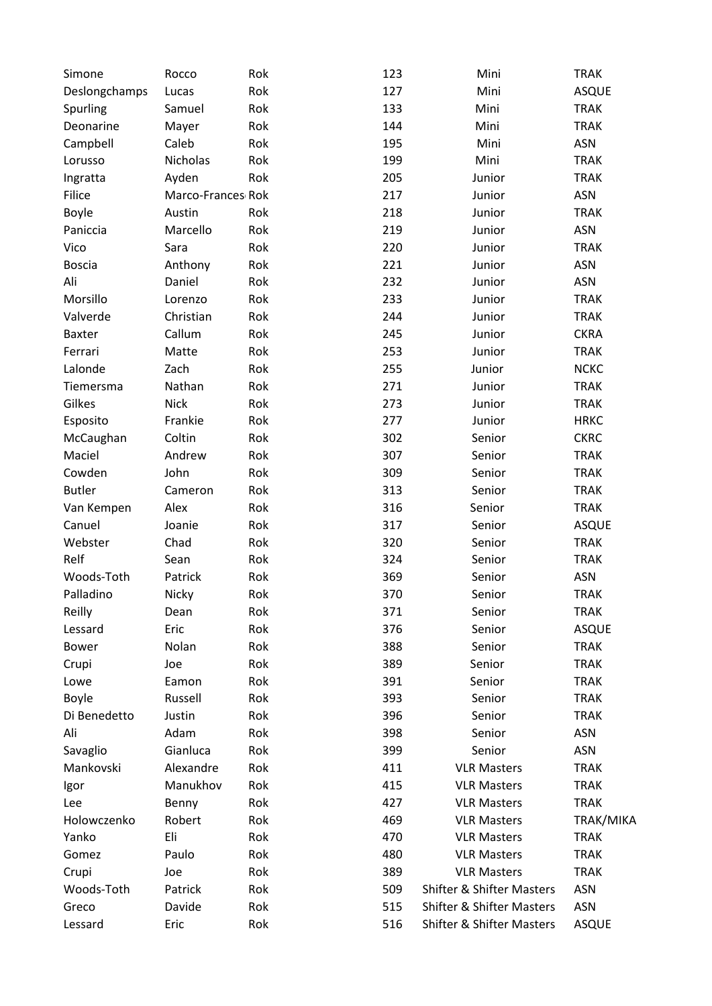| Simone        | Rocco             | Rok | 123 | Mini                                 | <b>TRAK</b>  |
|---------------|-------------------|-----|-----|--------------------------------------|--------------|
| Deslongchamps | Lucas             | Rok | 127 | Mini                                 | ASQUE        |
| Spurling      | Samuel            | Rok | 133 | Mini                                 | <b>TRAK</b>  |
| Deonarine     | Mayer             | Rok | 144 | Mini                                 | <b>TRAK</b>  |
| Campbell      | Caleb             | Rok | 195 | Mini                                 | <b>ASN</b>   |
| Lorusso       | Nicholas          | Rok | 199 | Mini                                 | <b>TRAK</b>  |
| Ingratta      | Ayden             | Rok | 205 | Junior                               | <b>TRAK</b>  |
| Filice        | Marco-Frances Rok |     | 217 | Junior                               | <b>ASN</b>   |
| Boyle         | Austin            | Rok | 218 | Junior                               | <b>TRAK</b>  |
| Paniccia      | Marcello          | Rok | 219 | Junior                               | <b>ASN</b>   |
| Vico          | Sara              | Rok | 220 | Junior                               | <b>TRAK</b>  |
| <b>Boscia</b> | Anthony           | Rok | 221 | Junior                               | <b>ASN</b>   |
| Ali           | Daniel            | Rok | 232 | Junior                               | <b>ASN</b>   |
| Morsillo      | Lorenzo           | Rok | 233 | Junior                               | <b>TRAK</b>  |
| Valverde      | Christian         | Rok | 244 | Junior                               | <b>TRAK</b>  |
| <b>Baxter</b> | Callum            | Rok | 245 | Junior                               | <b>CKRA</b>  |
| Ferrari       | Matte             | Rok | 253 | Junior                               | <b>TRAK</b>  |
| Lalonde       | Zach              | Rok | 255 | Junior                               | <b>NCKC</b>  |
| Tiemersma     | Nathan            | Rok | 271 | Junior                               | <b>TRAK</b>  |
| Gilkes        | <b>Nick</b>       | Rok | 273 | Junior                               | <b>TRAK</b>  |
| Esposito      | Frankie           | Rok | 277 | Junior                               | <b>HRKC</b>  |
| McCaughan     | Coltin            | Rok | 302 | Senior                               | <b>CKRC</b>  |
| Maciel        | Andrew            | Rok | 307 | Senior                               | <b>TRAK</b>  |
| Cowden        | John              | Rok | 309 | Senior                               | <b>TRAK</b>  |
| <b>Butler</b> | Cameron           | Rok | 313 | Senior                               | <b>TRAK</b>  |
| Van Kempen    | Alex              | Rok | 316 | Senior                               | <b>TRAK</b>  |
| Canuel        | Joanie            | Rok | 317 | Senior                               | ASQUE        |
| Webster       | Chad              | Rok | 320 | Senior                               | <b>TRAK</b>  |
| Relf          | Sean              | Rok | 324 | Senior                               | <b>TRAK</b>  |
| Woods-Toth    | Patrick           | Rok | 369 | Senior                               | ASN          |
| Palladino     | Nicky             | Rok | 370 | Senior                               | <b>TRAK</b>  |
| Reilly        | Dean              | Rok | 371 | Senior                               | <b>TRAK</b>  |
| Lessard       | Eric              | Rok | 376 | Senior                               | ASQUE        |
| <b>Bower</b>  | Nolan             | Rok | 388 | Senior                               | <b>TRAK</b>  |
| Crupi         | Joe               | Rok | 389 | Senior                               | <b>TRAK</b>  |
| Lowe          | Eamon             | Rok | 391 | Senior                               | <b>TRAK</b>  |
| Boyle         | Russell           | Rok | 393 | Senior                               | <b>TRAK</b>  |
| Di Benedetto  | Justin            | Rok | 396 | Senior                               | <b>TRAK</b>  |
| Ali           | Adam              | Rok | 398 | Senior                               | <b>ASN</b>   |
| Savaglio      | Gianluca          | Rok | 399 | Senior                               | ASN          |
| Mankovski     | Alexandre         | Rok | 411 | <b>VLR Masters</b>                   | <b>TRAK</b>  |
| Igor          | Manukhov          | Rok | 415 | <b>VLR Masters</b>                   | <b>TRAK</b>  |
| Lee           | Benny             | Rok | 427 | <b>VLR Masters</b>                   | <b>TRAK</b>  |
| Holowczenko   | Robert            | Rok | 469 | <b>VLR Masters</b>                   | TRAK/MIKA    |
| Yanko         | Eli               | Rok | 470 | <b>VLR Masters</b>                   | <b>TRAK</b>  |
| Gomez         | Paulo             | Rok | 480 | <b>VLR Masters</b>                   | <b>TRAK</b>  |
| Crupi         | Joe               | Rok | 389 | <b>VLR Masters</b>                   | <b>TRAK</b>  |
| Woods-Toth    | Patrick           | Rok | 509 | <b>Shifter &amp; Shifter Masters</b> | <b>ASN</b>   |
| Greco         | Davide            | Rok | 515 | <b>Shifter &amp; Shifter Masters</b> | <b>ASN</b>   |
| Lessard       | Eric              | Rok | 516 | <b>Shifter &amp; Shifter Masters</b> | <b>ASQUE</b> |